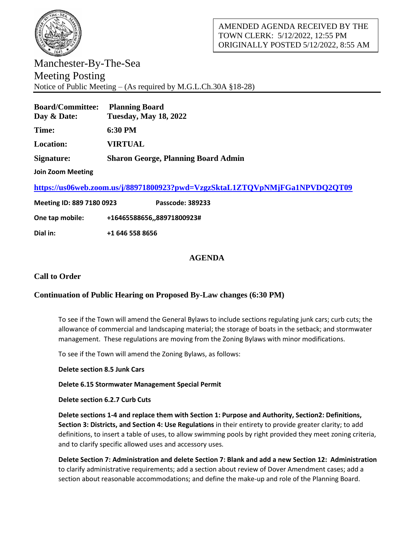

Manchester-By-The-Sea Meeting Posting Notice of Public Meeting – (As required by M.G.L.Ch.30A §18-28)

| <b>Planning Board</b><br><b>Tuesday, May 18, 2022</b> |
|-------------------------------------------------------|
| 6:30 PM                                               |
| <b>VIRTUAL</b>                                        |
| <b>Sharon George, Planning Board Admin</b>            |
|                                                       |

**Join Zoom Meeting**

**<https://us06web.zoom.us/j/88971800923?pwd=VzgzSktaL1ZTQVpNMjFGa1NPVDQ2QT09>**

| Meeting ID: 889 7180 0923 |                 | <b>Passcode: 389233</b>  |
|---------------------------|-----------------|--------------------------|
| One tap mobile:           |                 | +1646558865688971800923# |
| Dial in:                  | +1 646 558 8656 |                          |

# **AGENDA**

# **Call to Order**

## **Continuation of Public Hearing on Proposed By-Law changes (6:30 PM)**

To see if the Town will amend the General Bylaws to include sections regulating junk cars; curb cuts; the allowance of commercial and landscaping material; the storage of boats in the setback; and stormwater management. These regulations are moving from the Zoning Bylaws with minor modifications.

To see if the Town will amend the Zoning Bylaws, as follows:

**Delete section 8.5 Junk Cars**

### **Delete 6.15 Stormwater Management Special Permit**

**Delete section 6.2.7 Curb Cuts** 

**Delete sections 1-4 and replace them with Section 1: Purpose and Authority, Section2: Definitions, Section 3: Districts, and Section 4: Use Regulations** in their entirety to provide greater clarity; to add definitions, to insert a table of uses, to allow swimming pools by right provided they meet zoning criteria, and to clarify specific allowed uses and accessory uses.

**Delete Section 7: Administration and delete Section 7: Blank and add a new Section 12: Administration** to clarify administrative requirements; add a section about review of Dover Amendment cases; add a section about reasonable accommodations; and define the make-up and role of the Planning Board.